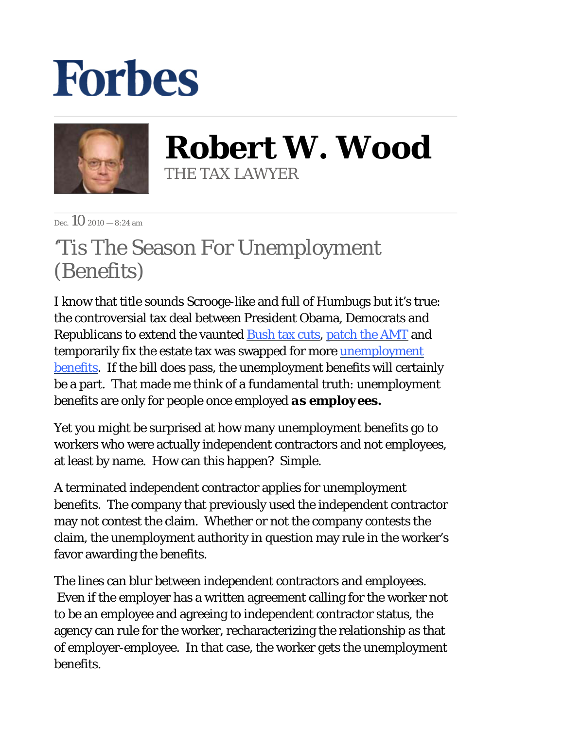## **Forbes**



**Robert W. Wood** THE TAX LAWYER

 $\sum_{P \in \mathcal{P}} \left\{ \bigcap_{P \in \mathcal{P}} 2010 - 8:24 \text{ am} \right\}$ 

## 'Tis The Season For Unemployment (Benefits)

I know that title sounds Scrooge-like and full of Humbugs but it's true: the controversial tax deal between President Obama, Democrats and Republicans to extend the vaunted [Bush tax cuts,](http://blogs.forbes.com/robertwood/2010/11/24/bush-tax-cuts-better-by-another-name/) [patch the AMT](http://blogs.forbes.com/robertwood/2010/11/10/patching-the-amt-means-less-anarchy/) and temporarily fix the estate tax was swapped for more unemployment [benefits.](http://www.nytimes.com/2010/12/08/us/politics/08cong.html?_r=1&adxnnl=1&pagewanted=print&adxnnlx=1291922674-isg89K0lR/SYvDBikjj0CA) If the bill does pass, the unemployment benefits will certainly be a part. That made me think of a fundamental truth: unemployment benefits are only for people once employed *as employees.*

Yet you might be surprised at how many unemployment benefits go to workers who were actually independent contractors and not employees, at least by name. How can this happen? Simple.

A terminated independent contractor applies for unemployment benefits. The company that previously used the independent contractor may not contest the claim. Whether or not the company contests the claim, the unemployment authority in question may rule in the worker's favor awarding the benefits.

The lines can blur between independent contractors and employees. Even if the employer has a written agreement calling for the worker not to be an employee and agreeing to independent contractor status, the agency can rule for the worker, recharacterizing the relationship as that of employer-employee. In that case, the worker gets the unemployment benefits.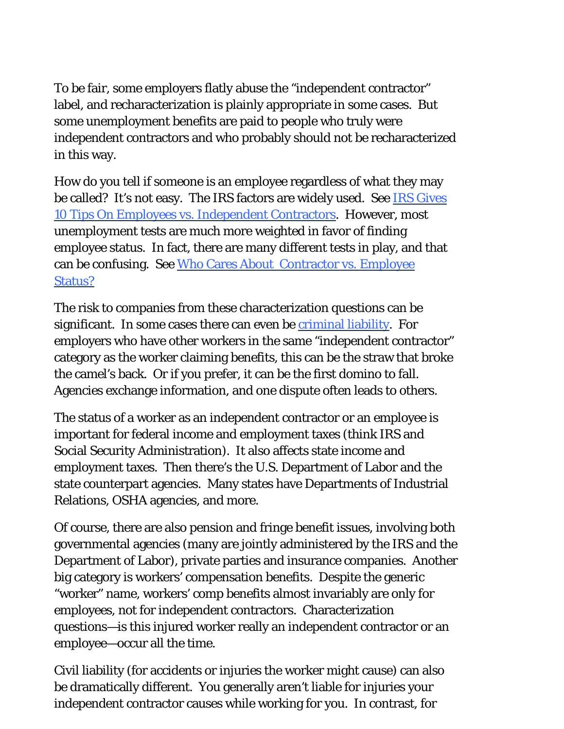To be fair, some employers flatly abuse the "independent contractor" label, and recharacterization is plainly appropriate in some cases. But some unemployment benefits are paid to people who truly were independent contractors and who probably should not be recharacterized in this way.

How do you tell if someone is an employee regardless of what they may be called? It's not easy. The IRS factors are widely used. See IRS Gives [10 Tips On Employees vs. Independent Contractors.](http://woodporter.com/Publications/Articles/pdf/IRS_Gives_10_Tips_on_Employees_Versus_Independent_Contractors.pdf) However, most unemployment tests are much more weighted in favor of finding employee status. In fact, there are many different tests in play, and that can be confusing. See [Who Cares About Contractor vs. Employee](http://woodporter.com/Publications/Articles/pdf/Who_Cares_About_Contractor_vs_Employee_Status.pdf)  [Status?](http://woodporter.com/Publications/Articles/pdf/Who_Cares_About_Contractor_vs_Employee_Status.pdf)

The risk to companies from these characterization questions can be significant. In some cases there can even be *criminal liability*. For employers who have other workers in the same "independent contractor" category as the worker claiming benefits, this can be the straw that broke the camel's back. Or if you prefer, it can be the first domino to fall. Agencies exchange information, and one dispute often leads to others.

The status of a worker as an independent contractor or an employee is important for federal income and employment taxes (think IRS and Social Security Administration). It also affects state income and employment taxes. Then there's the U.S. Department of Labor and the state counterpart agencies. Many states have Departments of Industrial Relations, OSHA agencies, and more.

Of course, there are also pension and fringe benefit issues, involving both governmental agencies (many are jointly administered by the IRS and the Department of Labor), private parties and insurance companies. Another big category is workers' compensation benefits. Despite the generic "worker" name, workers' comp benefits almost invariably are only for employees, not for independent contractors. Characterization questions—is this injured worker really an independent contractor or an employee—occur all the time.

Civil liability (for accidents or injuries the worker might cause) can also be dramatically different. You generally aren't liable for injuries your independent contractor causes while working for you. In contrast, for